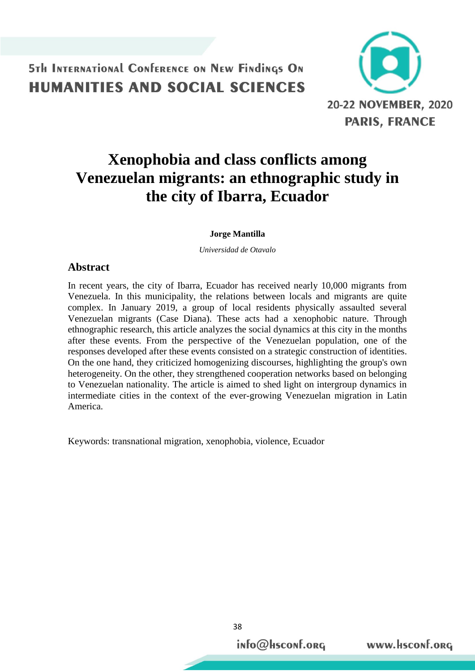

# **Xenophobia and class conflicts among Venezuelan migrants: an ethnographic study in the city of Ibarra, Ecuador**

#### **Jorge Mantilla**

*Universidad de Otavalo*

#### **Abstract**

In recent years, the city of Ibarra, Ecuador has received nearly 10,000 migrants from Venezuela. In this municipality, the relations between locals and migrants are quite complex. In January 2019, a group of local residents physically assaulted several Venezuelan migrants (Case Diana). These acts had a xenophobic nature. Through ethnographic research, this article analyzes the social dynamics at this city in the months after these events. From the perspective of the Venezuelan population, one of the responses developed after these events consisted on a strategic construction of identities. On the one hand, they criticized homogenizing discourses, highlighting the group's own heterogeneity. On the other, they strengthened cooperation networks based on belonging to Venezuelan nationality. The article is aimed to shed light on intergroup dynamics in intermediate cities in the context of the ever-growing Venezuelan migration in Latin America.

Keywords: transnational migration, xenophobia, violence, Ecuador

38

info@Hsconf.org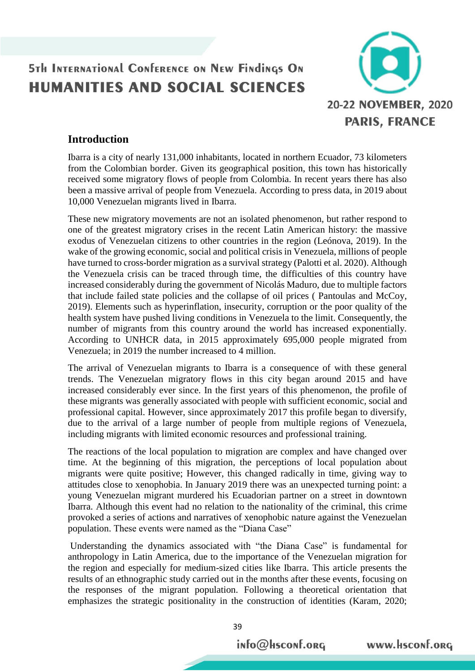

#### **Introduction**

Ibarra is a city of nearly 131,000 inhabitants, located in northern Ecuador, 73 kilometers from the Colombian border. Given its geographical position, this town has historically received some migratory flows of people from Colombia. In recent years there has also been a massive arrival of people from Venezuela. According to press data, in 2019 about 10,000 Venezuelan migrants lived in Ibarra.

These new migratory movements are not an isolated phenomenon, but rather respond to one of the greatest migratory crises in the recent Latin American history: the massive exodus of Venezuelan citizens to other countries in the region (Leónova, 2019). In the wake of the growing economic, social and political crisis in Venezuela, millions of people have turned to cross-border migration as a survival strategy (Palotti et al. 2020). Although the Venezuela crisis can be traced through time, the difficulties of this country have increased considerably during the government of Nicolás Maduro, due to multiple factors that include failed state policies and the collapse of oil prices ( Pantoulas and McCoy, 2019). Elements such as hyperinflation, insecurity, corruption or the poor quality of the health system have pushed living conditions in Venezuela to the limit. Consequently, the number of migrants from this country around the world has increased exponentially. According to UNHCR data, in 2015 approximately 695,000 people migrated from Venezuela; in 2019 the number increased to 4 million.

The arrival of Venezuelan migrants to Ibarra is a consequence of with these general trends. The Venezuelan migratory flows in this city began around 2015 and have increased considerably ever since. In the first years of this phenomenon, the profile of these migrants was generally associated with people with sufficient economic, social and professional capital. However, since approximately 2017 this profile began to diversify, due to the arrival of a large number of people from multiple regions of Venezuela, including migrants with limited economic resources and professional training.

The reactions of the local population to migration are complex and have changed over time. At the beginning of this migration, the perceptions of local population about migrants were quite positive; However, this changed radically in time, giving way to attitudes close to xenophobia. In January 2019 there was an unexpected turning point: a young Venezuelan migrant murdered his Ecuadorian partner on a street in downtown Ibarra. Although this event had no relation to the nationality of the criminal, this crime provoked a series of actions and narratives of xenophobic nature against the Venezuelan population. These events were named as the "Diana Case"

Understanding the dynamics associated with "the Diana Case" is fundamental for anthropology in Latin America, due to the importance of the Venezuelan migration for the region and especially for medium-sized cities like Ibarra. This article presents the results of an ethnographic study carried out in the months after these events, focusing on the responses of the migrant population. Following a theoretical orientation that emphasizes the strategic positionality in the construction of identities (Karam, 2020;

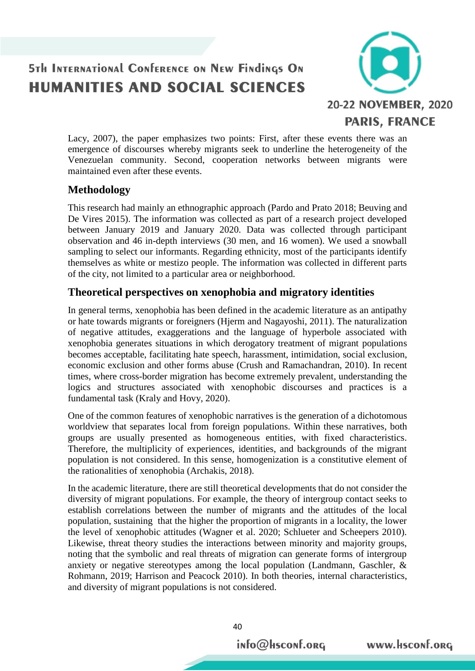

Lacy, 2007), the paper emphasizes two points: First, after these events there was an emergence of discourses whereby migrants seek to underline the heterogeneity of the Venezuelan community. Second, cooperation networks between migrants were maintained even after these events.

#### **Methodology**

This research had mainly an ethnographic approach (Pardo and Prato 2018; Beuving and De Vires 2015). The information was collected as part of a research project developed between January 2019 and January 2020. Data was collected through participant observation and 46 in-depth interviews (30 men, and 16 women). We used a snowball sampling to select our informants. Regarding ethnicity, most of the participants identify themselves as white or mestizo people. The information was collected in different parts of the city, not limited to a particular area or neighborhood.

#### **Theoretical perspectives on xenophobia and migratory identities**

In general terms, xenophobia has been defined in the academic literature as an antipathy or hate towards migrants or foreigners (Hjerm and Nagayoshi, 2011). The naturalization of negative attitudes, exaggerations and the language of hyperbole associated with xenophobia generates situations in which derogatory treatment of migrant populations becomes acceptable, facilitating hate speech, harassment, intimidation, social exclusion, economic exclusion and other forms abuse (Crush and Ramachandran, 2010). In recent times, where cross-border migration has become extremely prevalent, understanding the logics and structures associated with xenophobic discourses and practices is a fundamental task (Kraly and Hovy, 2020).

One of the common features of xenophobic narratives is the generation of a dichotomous worldview that separates local from foreign populations. Within these narratives, both groups are usually presented as homogeneous entities, with fixed characteristics. Therefore, the multiplicity of experiences, identities, and backgrounds of the migrant population is not considered. In this sense, homogenization is a constitutive element of the rationalities of xenophobia (Archakis, 2018).

In the academic literature, there are still theoretical developments that do not consider the diversity of migrant populations. For example, the theory of intergroup contact seeks to establish correlations between the number of migrants and the attitudes of the local population, sustaining that the higher the proportion of migrants in a locality, the lower the level of xenophobic attitudes (Wagner et al. 2020; Schlueter and Scheepers 2010). Likewise, threat theory studies the interactions between minority and majority groups, noting that the symbolic and real threats of migration can generate forms of intergroup anxiety or negative stereotypes among the local population (Landmann, Gaschler, & Rohmann, 2019; Harrison and Peacock 2010). In both theories, internal characteristics, and diversity of migrant populations is not considered.

info@Hsconf.org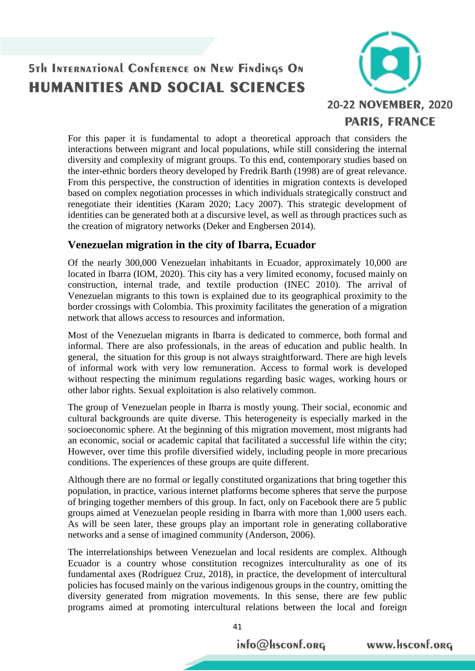

For this paper it is fundamental to adopt a theoretical approach that considers the interactions between migrant and local populations, while still considering the internal diversity and complexity of migrant groups. To this end, contemporary studies based on the inter-ethnic borders theory developed by Fredrik Barth (1998) are of great relevance. From this perspective, the construction of identities in migration contexts is developed based on complex negotiation processes in which individuals strategically construct and renegotiate their identities (Karam 2020; Lacy 2007). This strategic development of identities can be generated both at a discursive level, as well as through practices such as the creation of migratory networks (Deker and Engbersen 2014).

#### **Venezuelan migration in the city of Ibarra, Ecuador**

Of the nearly 300,000 Venezuelan inhabitants in Ecuador, approximately 10,000 are located in Ibarra (IOM, 2020). This city has a very limited economy, focused mainly on construction, internal trade, and textile production (INEC 2010). The arrival of Venezuelan migrants to this town is explained due to its geographical proximity to the border crossings with Colombia. This proximity facilitates the generation of a migration network that allows access to resources and information.

Most of the Venezuelan migrants in Ibarra is dedicated to commerce, both formal and informal. There are also professionals, in the areas of education and public health. In general, the situation for this group is not always straightforward. There are high levels of informal work with very low remuneration. Access to formal work is developed without respecting the minimum regulations regarding basic wages, working hours or other labor rights. Sexual exploitation is also relatively common.

The group of Venezuelan people in Ibarra is mostly young. Their social, economic and cultural backgrounds are quite diverse. This heterogeneity is especially marked in the socioeconomic sphere. At the beginning of this migration movement, most migrants had an economic, social or academic capital that facilitated a successful life within the city; However, over time this profile diversified widely, including people in more precarious conditions. The experiences of these groups are quite different.

Although there are no formal or legally constituted organizations that bring together this population, in practice, various internet platforms become spheres that serve the purpose of bringing together members of this group. In fact, only on Facebook there are 5 public groups aimed at Venezuelan people residing in Ibarra with more than 1,000 users each. As will be seen later, these groups play an important role in generating collaborative networks and a sense of imagined community (Anderson, 2006).

The interrelationships between Venezuelan and local residents are complex. Although Ecuador is a country whose constitution recognizes interculturality as one of its fundamental axes (Rodríguez Cruz, 2018), in practice, the development of intercultural policies has focused mainly on the various indigenous groups in the country, omitting the diversity generated from migration movements. In this sense, there are few public programs aimed at promoting intercultural relations between the local and foreign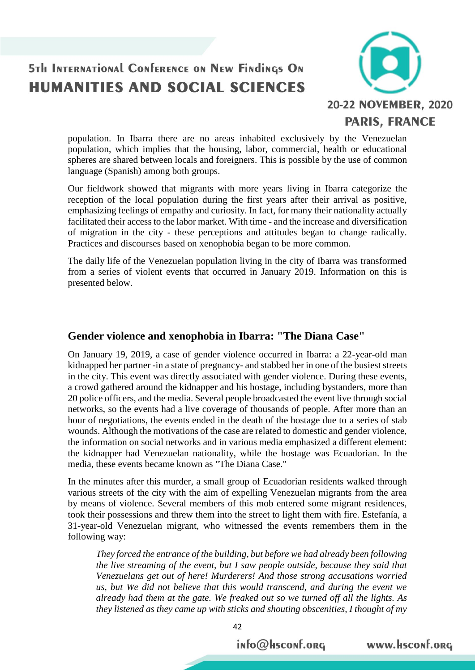

population. In Ibarra there are no areas inhabited exclusively by the Venezuelan population, which implies that the housing, labor, commercial, health or educational spheres are shared between locals and foreigners. This is possible by the use of common language (Spanish) among both groups.

Our fieldwork showed that migrants with more years living in Ibarra categorize the reception of the local population during the first years after their arrival as positive, emphasizing feelings of empathy and curiosity. In fact, for many their nationality actually facilitated their access to the labor market. With time - and the increase and diversification of migration in the city - these perceptions and attitudes began to change radically. Practices and discourses based on xenophobia began to be more common.

The daily life of the Venezuelan population living in the city of Ibarra was transformed from a series of violent events that occurred in January 2019. Information on this is presented below.

#### **Gender violence and xenophobia in Ibarra: "The Diana Case"**

On January 19, 2019, a case of gender violence occurred in Ibarra: a 22-year-old man kidnapped her partner -in a state of pregnancy- and stabbed her in one of the busiest streets in the city. This event was directly associated with gender violence. During these events, a crowd gathered around the kidnapper and his hostage, including bystanders, more than 20 police officers, and the media. Several people broadcasted the event live through social networks, so the events had a live coverage of thousands of people. After more than an hour of negotiations, the events ended in the death of the hostage due to a series of stab wounds. Although the motivations of the case are related to domestic and gender violence, the information on social networks and in various media emphasized a different element: the kidnapper had Venezuelan nationality, while the hostage was Ecuadorian. In the media, these events became known as "The Diana Case."

In the minutes after this murder, a small group of Ecuadorian residents walked through various streets of the city with the aim of expelling Venezuelan migrants from the area by means of violence. Several members of this mob entered some migrant residences, took their possessions and threw them into the street to light them with fire. Estefanía, a 31-year-old Venezuelan migrant, who witnessed the events remembers them in the following way:

*They forced the entrance of the building, but before we had already been following the live streaming of the event, but I saw people outside, because they said that Venezuelans get out of here! Murderers! And those strong accusations worried us, but We did not believe that this would transcend, and during the event we already had them at the gate. We freaked out so we turned off all the lights. As they listened as they came up with sticks and shouting obscenities, I thought of my*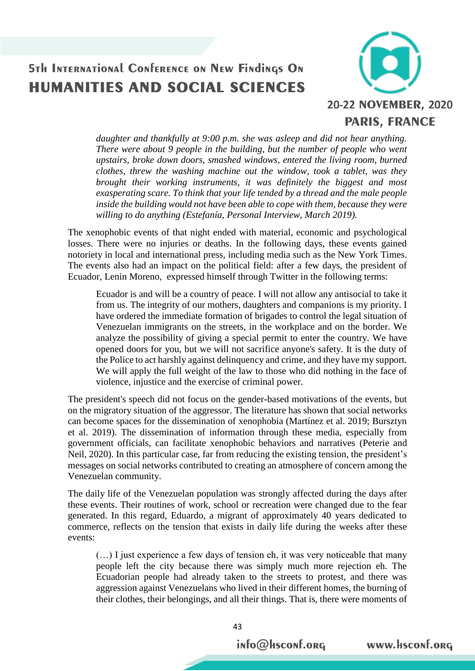

*daughter and thankfully at 9:00 p.m. she was asleep and did not hear anything. There were about 9 people in the building, but the number of people who went upstairs, broke down doors, smashed windows, entered the living room, burned clothes, threw the washing machine out the window, took a tablet, was they brought their working instruments, it was definitely the biggest and most exasperating scare. To think that your life tended by a thread and the male people inside the building would not have been able to cope with them, because they were willing to do anything (Estefanía, Personal Interview, March 2019).*

The xenophobic events of that night ended with material, economic and psychological losses. There were no injuries or deaths. In the following days, these events gained notoriety in local and international press, including media such as the New York Times. The events also had an impact on the political field: after a few days, the president of Ecuador, Lenin Moreno, expressed himself through Twitter in the following terms:

Ecuador is and will be a country of peace. I will not allow any antisocial to take it from us. The integrity of our mothers, daughters and companions is my priority. I have ordered the immediate formation of brigades to control the legal situation of Venezuelan immigrants on the streets, in the workplace and on the border. We analyze the possibility of giving a special permit to enter the country. We have opened doors for you, but we will not sacrifice anyone's safety. It is the duty of the Police to act harshly against delinquency and crime, and they have my support. We will apply the full weight of the law to those who did nothing in the face of violence, injustice and the exercise of criminal power.

The president's speech did not focus on the gender-based motivations of the events, but on the migratory situation of the aggressor. The literature has shown that social networks can become spaces for the dissemination of xenophobia (Martínez et al. 2019; Bursztyn et al. 2019). The dissemination of information through these media, especially from government officials, can facilitate xenophobic behaviors and narratives (Peterie and Neil, 2020). In this particular case, far from reducing the existing tension, the president's messages on social networks contributed to creating an atmosphere of concern among the Venezuelan community.

The daily life of the Venezuelan population was strongly affected during the days after these events. Their routines of work, school or recreation were changed due to the fear generated. In this regard, Eduardo, a migrant of approximately 40 years dedicated to commerce, reflects on the tension that exists in daily life during the weeks after these events:

(…) I just experience a few days of tension eh, it was very noticeable that many people left the city because there was simply much more rejection eh. The Ecuadorian people had already taken to the streets to protest, and there was aggression against Venezuelans who lived in their different homes, the burning of their clothes, their belongings, and all their things. That is, there were moments of

info@Hsconf.org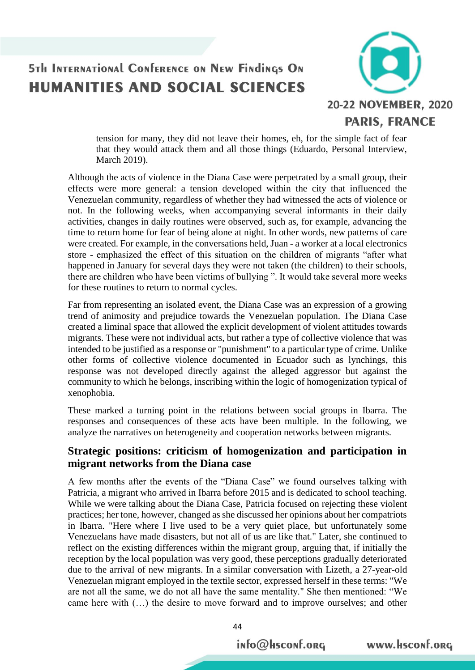

tension for many, they did not leave their homes, eh, for the simple fact of fear that they would attack them and all those things (Eduardo, Personal Interview, March 2019).

Although the acts of violence in the Diana Case were perpetrated by a small group, their effects were more general: a tension developed within the city that influenced the Venezuelan community, regardless of whether they had witnessed the acts of violence or not. In the following weeks, when accompanying several informants in their daily activities, changes in daily routines were observed, such as, for example, advancing the time to return home for fear of being alone at night. In other words, new patterns of care were created. For example, in the conversations held, Juan - a worker at a local electronics store - emphasized the effect of this situation on the children of migrants "after what happened in January for several days they were not taken (the children) to their schools, there are children who have been victims of bullying ". It would take several more weeks for these routines to return to normal cycles.

Far from representing an isolated event, the Diana Case was an expression of a growing trend of animosity and prejudice towards the Venezuelan population. The Diana Case created a liminal space that allowed the explicit development of violent attitudes towards migrants. These were not individual acts, but rather a type of collective violence that was intended to be justified as a response or "punishment" to a particular type of crime. Unlike other forms of collective violence documented in Ecuador such as lynchings, this response was not developed directly against the alleged aggressor but against the community to which he belongs, inscribing within the logic of homogenization typical of xenophobia.

These marked a turning point in the relations between social groups in Ibarra. The responses and consequences of these acts have been multiple. In the following, we analyze the narratives on heterogeneity and cooperation networks between migrants.

#### **Strategic positions: criticism of homogenization and participation in migrant networks from the Diana case**

A few months after the events of the "Diana Case" we found ourselves talking with Patricia, a migrant who arrived in Ibarra before 2015 and is dedicated to school teaching. While we were talking about the Diana Case, Patricia focused on rejecting these violent practices; her tone, however, changed as she discussed her opinions about her compatriots in Ibarra. "Here where I live used to be a very quiet place, but unfortunately some Venezuelans have made disasters, but not all of us are like that." Later, she continued to reflect on the existing differences within the migrant group, arguing that, if initially the reception by the local population was very good, these perceptions gradually deteriorated due to the arrival of new migrants. In a similar conversation with Lizeth, a 27-year-old Venezuelan migrant employed in the textile sector, expressed herself in these terms: "We are not all the same, we do not all have the same mentality." She then mentioned: "We came here with (…) the desire to move forward and to improve ourselves; and other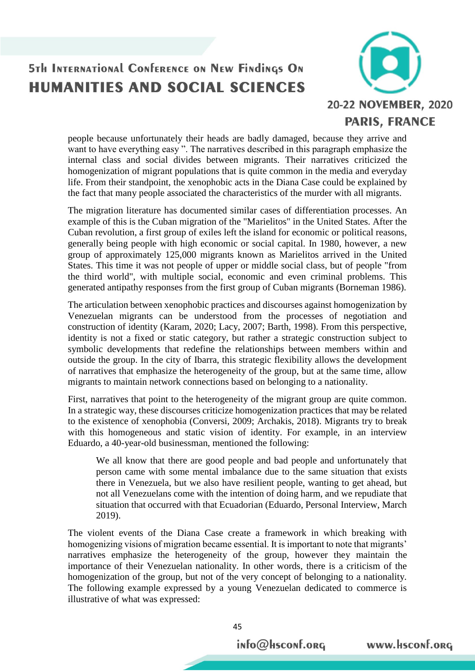

people because unfortunately their heads are badly damaged, because they arrive and want to have everything easy ". The narratives described in this paragraph emphasize the internal class and social divides between migrants. Their narratives criticized the homogenization of migrant populations that is quite common in the media and everyday life. From their standpoint, the xenophobic acts in the Diana Case could be explained by the fact that many people associated the characteristics of the murder with all migrants.

The migration literature has documented similar cases of differentiation processes. An example of this is the Cuban migration of the "Marielitos" in the United States. After the Cuban revolution, a first group of exiles left the island for economic or political reasons, generally being people with high economic or social capital. In 1980, however, a new group of approximately 125,000 migrants known as Marielitos arrived in the United States. This time it was not people of upper or middle social class, but of people "from the third world", with multiple social, economic and even criminal problems. This generated antipathy responses from the first group of Cuban migrants (Borneman 1986).

The articulation between xenophobic practices and discourses against homogenization by Venezuelan migrants can be understood from the processes of negotiation and construction of identity (Karam, 2020; Lacy, 2007; Barth, 1998). From this perspective, identity is not a fixed or static category, but rather a strategic construction subject to symbolic developments that redefine the relationships between members within and outside the group. In the city of Ibarra, this strategic flexibility allows the development of narratives that emphasize the heterogeneity of the group, but at the same time, allow migrants to maintain network connections based on belonging to a nationality.

First, narratives that point to the heterogeneity of the migrant group are quite common. In a strategic way, these discourses criticize homogenization practices that may be related to the existence of xenophobia (Conversi, 2009; Archakis, 2018). Migrants try to break with this homogeneous and static vision of identity. For example, in an interview Eduardo, a 40-year-old businessman, mentioned the following:

We all know that there are good people and bad people and unfortunately that person came with some mental imbalance due to the same situation that exists there in Venezuela, but we also have resilient people, wanting to get ahead, but not all Venezuelans come with the intention of doing harm, and we repudiate that situation that occurred with that Ecuadorian (Eduardo, Personal Interview, March 2019).

The violent events of the Diana Case create a framework in which breaking with homogenizing visions of migration became essential. It is important to note that migrants' narratives emphasize the heterogeneity of the group, however they maintain the importance of their Venezuelan nationality. In other words, there is a criticism of the homogenization of the group, but not of the very concept of belonging to a nationality. The following example expressed by a young Venezuelan dedicated to commerce is illustrative of what was expressed: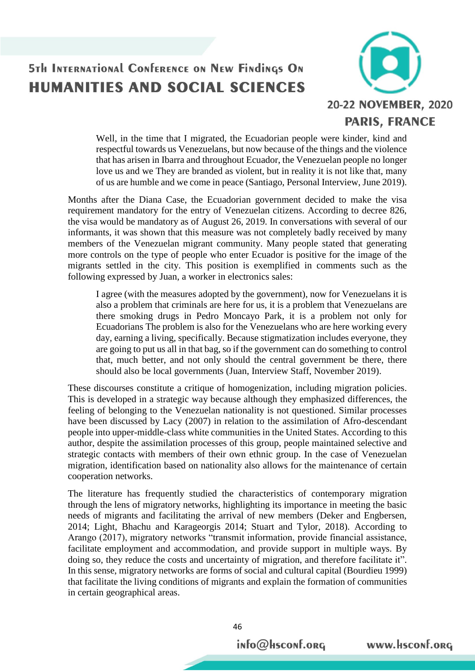

Well, in the time that I migrated, the Ecuadorian people were kinder, kind and respectful towards us Venezuelans, but now because of the things and the violence that has arisen in Ibarra and throughout Ecuador, the Venezuelan people no longer love us and we They are branded as violent, but in reality it is not like that, many of us are humble and we come in peace (Santiago, Personal Interview, June 2019).

Months after the Diana Case, the Ecuadorian government decided to make the visa requirement mandatory for the entry of Venezuelan citizens. According to decree 826, the visa would be mandatory as of August 26, 2019. In conversations with several of our informants, it was shown that this measure was not completely badly received by many members of the Venezuelan migrant community. Many people stated that generating more controls on the type of people who enter Ecuador is positive for the image of the migrants settled in the city. This position is exemplified in comments such as the following expressed by Juan, a worker in electronics sales:

I agree (with the measures adopted by the government), now for Venezuelans it is also a problem that criminals are here for us, it is a problem that Venezuelans are there smoking drugs in Pedro Moncayo Park, it is a problem not only for Ecuadorians The problem is also for the Venezuelans who are here working every day, earning a living, specifically. Because stigmatization includes everyone, they are going to put us all in that bag, so if the government can do something to control that, much better, and not only should the central government be there, there should also be local governments (Juan, Interview Staff, November 2019).

These discourses constitute a critique of homogenization, including migration policies. This is developed in a strategic way because although they emphasized differences, the feeling of belonging to the Venezuelan nationality is not questioned. Similar processes have been discussed by Lacy (2007) in relation to the assimilation of Afro-descendant people into upper-middle-class white communities in the United States. According to this author, despite the assimilation processes of this group, people maintained selective and strategic contacts with members of their own ethnic group. In the case of Venezuelan migration, identification based on nationality also allows for the maintenance of certain cooperation networks.

The literature has frequently studied the characteristics of contemporary migration through the lens of migratory networks, highlighting its importance in meeting the basic needs of migrants and facilitating the arrival of new members (Deker and Engbersen, 2014; Light, Bhachu and Karageorgis 2014; Stuart and Tylor, 2018). According to Arango (2017), migratory networks "transmit information, provide financial assistance, facilitate employment and accommodation, and provide support in multiple ways. By doing so, they reduce the costs and uncertainty of migration, and therefore facilitate it". In this sense, migratory networks are forms of social and cultural capital (Bourdieu 1999) that facilitate the living conditions of migrants and explain the formation of communities in certain geographical areas.

info@Hsconf.org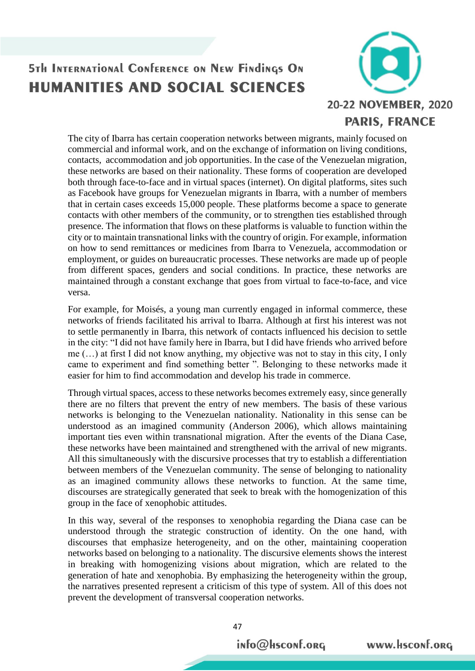

The city of Ibarra has certain cooperation networks between migrants, mainly focused on commercial and informal work, and on the exchange of information on living conditions, contacts, accommodation and job opportunities. In the case of the Venezuelan migration, these networks are based on their nationality. These forms of cooperation are developed both through face-to-face and in virtual spaces (internet). On digital platforms, sites such as Facebook have groups for Venezuelan migrants in Ibarra, with a number of members that in certain cases exceeds 15,000 people. These platforms become a space to generate contacts with other members of the community, or to strengthen ties established through presence. The information that flows on these platforms is valuable to function within the city or to maintain transnational links with the country of origin. For example, information on how to send remittances or medicines from Ibarra to Venezuela, accommodation or employment, or guides on bureaucratic processes. These networks are made up of people from different spaces, genders and social conditions. In practice, these networks are maintained through a constant exchange that goes from virtual to face-to-face, and vice versa.

For example, for Moisés, a young man currently engaged in informal commerce, these networks of friends facilitated his arrival to Ibarra. Although at first his interest was not to settle permanently in Ibarra, this network of contacts influenced his decision to settle in the city: "I did not have family here in Ibarra, but I did have friends who arrived before me (…) at first I did not know anything, my objective was not to stay in this city, I only came to experiment and find something better ". Belonging to these networks made it easier for him to find accommodation and develop his trade in commerce.

Through virtual spaces, access to these networks becomes extremely easy, since generally there are no filters that prevent the entry of new members. The basis of these various networks is belonging to the Venezuelan nationality. Nationality in this sense can be understood as an imagined community (Anderson 2006), which allows maintaining important ties even within transnational migration. After the events of the Diana Case, these networks have been maintained and strengthened with the arrival of new migrants. All this simultaneously with the discursive processes that try to establish a differentiation between members of the Venezuelan community. The sense of belonging to nationality as an imagined community allows these networks to function. At the same time, discourses are strategically generated that seek to break with the homogenization of this group in the face of xenophobic attitudes.

In this way, several of the responses to xenophobia regarding the Diana case can be understood through the strategic construction of identity. On the one hand, with discourses that emphasize heterogeneity, and on the other, maintaining cooperation networks based on belonging to a nationality. The discursive elements shows the interest in breaking with homogenizing visions about migration, which are related to the generation of hate and xenophobia. By emphasizing the heterogeneity within the group, the narratives presented represent a criticism of this type of system. All of this does not prevent the development of transversal cooperation networks.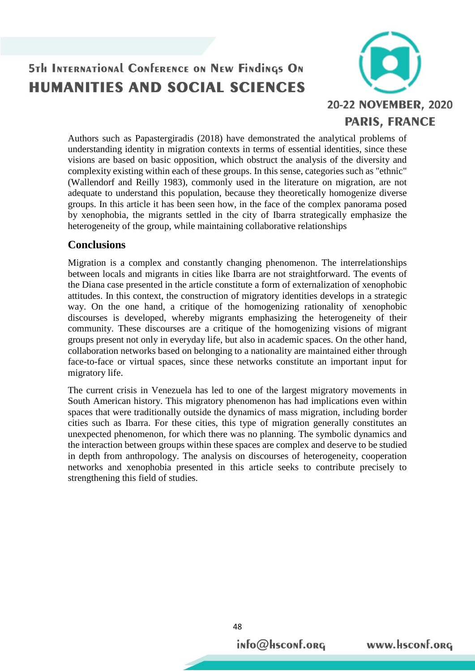

Authors such as Papastergiradis (2018) have demonstrated the analytical problems of understanding identity in migration contexts in terms of essential identities, since these visions are based on basic opposition, which obstruct the analysis of the diversity and complexity existing within each of these groups. In this sense, categories such as "ethnic" (Wallendorf and Reilly 1983), commonly used in the literature on migration, are not adequate to understand this population, because they theoretically homogenize diverse groups. In this article it has been seen how, in the face of the complex panorama posed by xenophobia, the migrants settled in the city of Ibarra strategically emphasize the heterogeneity of the group, while maintaining collaborative relationships

#### **Conclusions**

Migration is a complex and constantly changing phenomenon. The interrelationships between locals and migrants in cities like Ibarra are not straightforward. The events of the Diana case presented in the article constitute a form of externalization of xenophobic attitudes. In this context, the construction of migratory identities develops in a strategic way. On the one hand, a critique of the homogenizing rationality of xenophobic discourses is developed, whereby migrants emphasizing the heterogeneity of their community. These discourses are a critique of the homogenizing visions of migrant groups present not only in everyday life, but also in academic spaces. On the other hand, collaboration networks based on belonging to a nationality are maintained either through face-to-face or virtual spaces, since these networks constitute an important input for migratory life.

The current crisis in Venezuela has led to one of the largest migratory movements in South American history. This migratory phenomenon has had implications even within spaces that were traditionally outside the dynamics of mass migration, including border cities such as Ibarra. For these cities, this type of migration generally constitutes an unexpected phenomenon, for which there was no planning. The symbolic dynamics and the interaction between groups within these spaces are complex and deserve to be studied in depth from anthropology. The analysis on discourses of heterogeneity, cooperation networks and xenophobia presented in this article seeks to contribute precisely to strengthening this field of studies.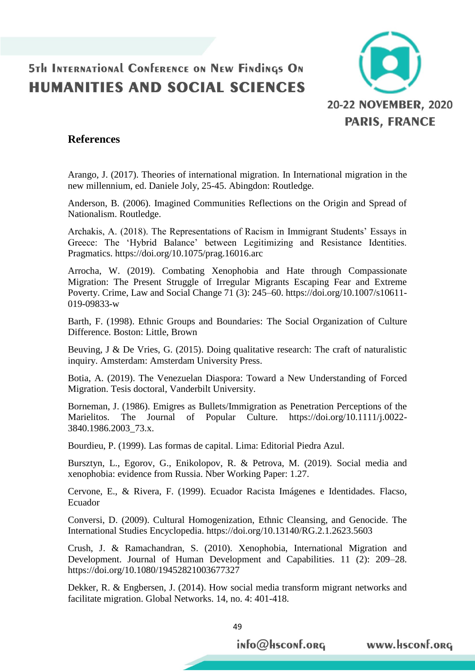

#### **References**

Arango, J. (2017). Theories of international migration. In International migration in the new millennium, ed. Daniele Joly, 25-45. Abingdon: Routledge.

Anderson, B. (2006). Imagined Communities Reflections on the Origin and Spread of Nationalism. Routledge.

Archakis, A. (2018). The Representations of Racism in Immigrant Students' Essays in Greece: The 'Hybrid Balance' between Legitimizing and Resistance Identities. Pragmatics. https://doi.org/10.1075/prag.16016.arc

Arrocha, W. (2019). Combating Xenophobia and Hate through Compassionate Migration: The Present Struggle of Irregular Migrants Escaping Fear and Extreme Poverty. Crime, Law and Social Change 71 (3): 245–60. https://doi.org/10.1007/s10611- 019-09833-w

Barth, F. (1998). Ethnic Groups and Boundaries: The Social Organization of Culture Difference. Boston: Little, Brown

Beuving, J & De Vries, G. (2015). Doing qualitative research: The craft of naturalistic inquiry. Amsterdam: Amsterdam University Press.

Botia, A. (2019). The Venezuelan Diaspora: Toward a New Understanding of Forced Migration. Tesis doctoral, Vanderbilt University.

Borneman, J. (1986). Emigres as Bullets/Immigration as Penetration Perceptions of the Marielitos. The Journal of Popular Culture. https://doi.org/10.1111/j.0022- 3840.1986.2003\_73.x.

Bourdieu, P. (1999). Las formas de capital. Lima: Editorial Piedra Azul.

Bursztyn, L., Egorov, G., Enikolopov, R. & Petrova, M. (2019). Social media and xenophobia: evidence from Russia. Nber Working Paper: 1.27.

Cervone, E., & Rivera, F. (1999). Ecuador Racista Imágenes e Identidades. Flacso, Ecuador

Conversi, D. (2009). Cultural Homogenization, Ethnic Cleansing, and Genocide. The International Studies Encyclopedia. https://doi.org/10.13140/RG.2.1.2623.5603

Crush, J. & Ramachandran, S. (2010). Xenophobia, International Migration and Development. Journal of Human Development and Capabilities. 11 (2): 209–28. https://doi.org/10.1080/19452821003677327

Dekker, R. & Engbersen, J. (2014). How social media transform migrant networks and facilitate migration. Global Networks. 14, no. 4: 401-418.

info@Hsconf.org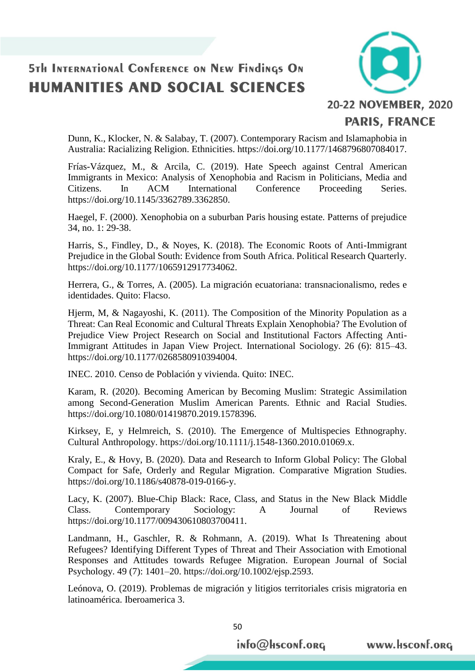

Dunn, K., Klocker, N. & Salabay, T. (2007). Contemporary Racism and Islamaphobia in Australia: Racializing Religion. Ethnicities. https://doi.org/10.1177/1468796807084017.

Frías-Vázquez, M., & Arcila, C. (2019). Hate Speech against Central American Immigrants in Mexico: Analysis of Xenophobia and Racism in Politicians, Media and Citizens. In ACM International Conference Proceeding Series. https://doi.org/10.1145/3362789.3362850.

Haegel, F. (2000). Xenophobia on a suburban Paris housing estate. Patterns of prejudice 34, no. 1: 29-38.

Harris, S., Findley, D., & Noyes, K. (2018). The Economic Roots of Anti-Immigrant Prejudice in the Global South: Evidence from South Africa. Political Research Quarterly. https://doi.org/10.1177/1065912917734062.

Herrera, G., & Torres, A. (2005). La migración ecuatoriana: transnacionalismo, redes e identidades. Quito: Flacso.

Hjerm, M, & Nagayoshi, K. (2011). The Composition of the Minority Population as a Threat: Can Real Economic and Cultural Threats Explain Xenophobia? The Evolution of Prejudice View Project Research on Social and Institutional Factors Affecting Anti-Immigrant Attitudes in Japan View Project. International Sociology. 26 (6): 815–43. https://doi.org/10.1177/0268580910394004.

INEC. 2010. Censo de Población y vivienda. Quito: INEC.

Karam, R. (2020). Becoming American by Becoming Muslim: Strategic Assimilation among Second-Generation Muslim American Parents. Ethnic and Racial Studies. https://doi.org/10.1080/01419870.2019.1578396.

Kirksey, E, y Helmreich, S. (2010). The Emergence of Multispecies Ethnography. Cultural Anthropology. https://doi.org/10.1111/j.1548-1360.2010.01069.x.

Kraly, E., & Hovy, B. (2020). Data and Research to Inform Global Policy: The Global Compact for Safe, Orderly and Regular Migration. Comparative Migration Studies. https://doi.org/10.1186/s40878-019-0166-y.

Lacy, K. (2007). Blue-Chip Black: Race, Class, and Status in the New Black Middle Class. Contemporary Sociology: A Journal of Reviews https://doi.org/10.1177/009430610803700411.

Landmann, H., Gaschler, R. & Rohmann, A. (2019). What Is Threatening about Refugees? Identifying Different Types of Threat and Their Association with Emotional Responses and Attitudes towards Refugee Migration. European Journal of Social Psychology. 49 (7): 1401–20. https://doi.org/10.1002/ejsp.2593.

Leónova, O. (2019). Problemas de migración y litigios territoriales crisis migratoria en latinoamérica. Iberoamerica 3.

50

info@Hsconf.org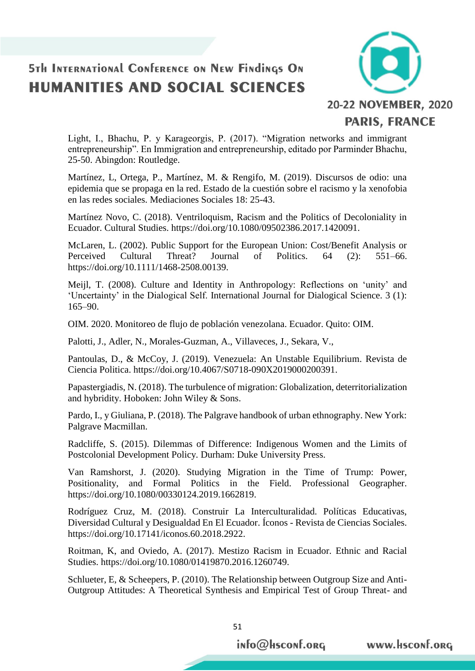

Light, I., Bhachu, P. y Karageorgis, P. (2017). "Migration networks and immigrant entrepreneurship". En Immigration and entrepreneurship, editado por Parminder Bhachu, 25-50. Abingdon: Routledge.

Martínez, L, Ortega, P., Martínez, M. & Rengifo, M. (2019). Discursos de odio: una epidemia que se propaga en la red. Estado de la cuestión sobre el racismo y la xenofobia en las redes sociales. Mediaciones Sociales 18: 25-43.

Martínez Novo, C. (2018). Ventriloquism, Racism and the Politics of Decoloniality in Ecuador. Cultural Studies. https://doi.org/10.1080/09502386.2017.1420091.

McLaren, L. (2002). Public Support for the European Union: Cost/Benefit Analysis or Perceived Cultural Threat? Journal of Politics. 64 (2): 551–66. https://doi.org/10.1111/1468-2508.00139.

Meijl, T. (2008). Culture and Identity in Anthropology: Reflections on 'unity' and 'Uncertainty' in the Dialogical Self. International Journal for Dialogical Science. 3 (1): 165–90.

OIM. 2020. Monitoreo de flujo de población venezolana. Ecuador. Quito: OIM.

Palotti, J., Adler, N., Morales-Guzman, A., Villaveces, J., Sekara, V.,

Pantoulas, D., & McCoy, J. (2019). Venezuela: An Unstable Equilibrium. Revista de Ciencia Politica. https://doi.org/10.4067/S0718-090X2019000200391.

Papastergiadis, N. (2018). The turbulence of migration: Globalization, deterritorialization and hybridity. Hoboken: John Wiley & Sons.

Pardo, I., y Giuliana, P. (2018). The Palgrave handbook of urban ethnography. New York: Palgrave Macmillan.

Radcliffe, S. (2015). Dilemmas of Difference: Indigenous Women and the Limits of Postcolonial Development Policy. Durham: Duke University Press.

Van Ramshorst, J. (2020). Studying Migration in the Time of Trump: Power, Positionality, and Formal Politics in the Field. Professional Geographer. https://doi.org/10.1080/00330124.2019.1662819.

Rodríguez Cruz, M. (2018). Construir La Interculturalidad. Políticas Educativas, Diversidad Cultural y Desigualdad En El Ecuador. Íconos - Revista de Ciencias Sociales. https://doi.org/10.17141/iconos.60.2018.2922.

Roitman, K, and Oviedo, A. (2017). Mestizo Racism in Ecuador. Ethnic and Racial Studies. https://doi.org/10.1080/01419870.2016.1260749.

Schlueter, E, & Scheepers, P. (2010). The Relationship between Outgroup Size and Anti-Outgroup Attitudes: A Theoretical Synthesis and Empirical Test of Group Threat- and

51

info@Hsconf.org